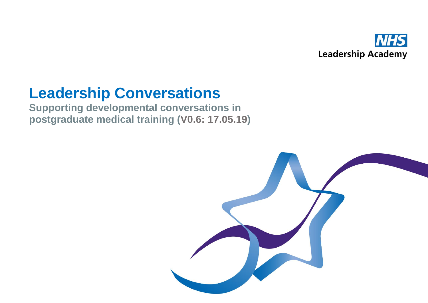

# **Leadership Conversations**

**Supporting developmental conversations in postgraduate medical training (V0.6: 17.05.19)**

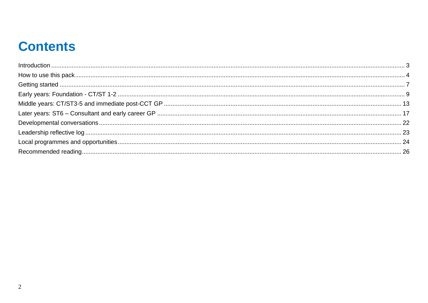### **Contents**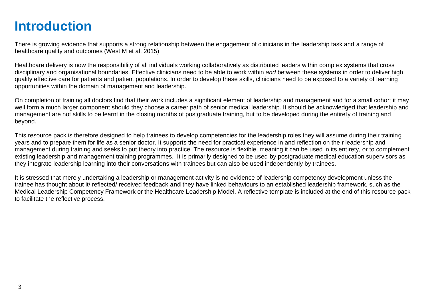### <span id="page-2-0"></span>**Introduction**

There is growing evidence that supports a strong relationship between the engagement of clinicians in the leadership task and a range of healthcare quality and outcomes (West M et al. 2015).

Healthcare delivery is now the responsibility of all individuals working collaboratively as distributed leaders within complex systems that cross disciplinary and organisational boundaries. Effective clinicians need to be able to work within *and* between these systems in order to deliver high quality effective care for patients and patient populations. In order to develop these skills, clinicians need to be exposed to a variety of learning opportunities within the domain of management and leadership.

On completion of training all doctors find that their work includes a significant element of leadership and management and for a small cohort it may well form a much larger component should they choose a career path of senior medical leadership. It should be acknowledged that leadership and management are not skills to be learnt in the closing months of postgraduate training, but to be developed during the entirety of training and beyond.

This resource pack is therefore designed to help trainees to develop competencies for the leadership roles they will assume during their training years and to prepare them for life as a senior doctor. It supports the need for practical experience in and reflection on their leadership and management during training and seeks to put theory into practice. The resource is flexible, meaning it can be used in its entirety, or to complement existing leadership and management training programmes. It is primarily designed to be used by postgraduate medical education supervisors as they integrate leadership learning into their conversations with trainees but can also be used independently by trainees.

It is stressed that merely undertaking a leadership or management activity is no evidence of leadership competency development unless the trainee has thought about it/ reflected/ received feedback **and** they have linked behaviours to an established leadership framework, such as the Medical Leadership Competency Framework or the Healthcare Leadership Model. A reflective template is included at the end of this resource pack to facilitate the reflective process.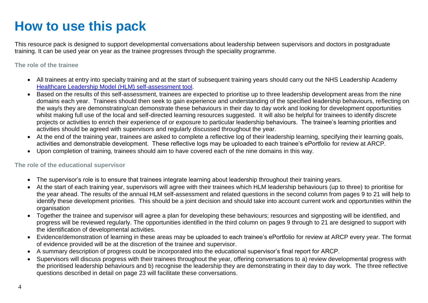## <span id="page-3-0"></span>**How to use this pack**

This resource pack is designed to support developmental conversations about leadership between supervisors and doctors in postgraduate training. It can be used year on year as the trainee progresses through the speciality programme.

### **The role of the trainee**

- All trainees at entry into specialty training and at the start of subsequent training years should carry out the NHS Leadership Academy [Healthcare Leadership Model \(HLM\) self-assessment tool.](file:///C:/Users/linda.wallace/AppData/Local/Microsoft/Windows/INetCache/Content.Outlook/ICJHL0AD/•%09https:/www.leadershipacademy.nhs.uk/resources/healthcare-leadership-model/supporting-tools-resources/healthcare-leadership-model-self-assessment-tool/)
- Based on the results of this self-assessment, trainees are expected to prioritise up to three leadership development areas from the nine domains each year. Trainees should then seek to gain experience and understanding of the specified leadership behaviours, reflecting on the way/s they are demonstrating/can demonstrate these behaviours in their day to day work and looking for development opportunities whilst making full use of the local and self-directed learning resources suggested. It will also be helpful for trainees to identify discrete projects or activities to enrich their experience of or exposure to particular leadership behaviours. The trainee's learning priorities and activities should be agreed with supervisors and regularly discussed throughout the year.
- At the end of the training vear, trainees are asked to complete a reflective log of their leadership learning, specifying their learning goals, activities and demonstrable development. These reflective logs may be uploaded to each trainee's ePortfolio for review at ARCP.
- Upon completion of training, trainees should aim to have covered each of the nine domains in this way.

### **The role of the educational supervisor**

- The supervisor's role is to ensure that trainees integrate learning about leadership throughout their training years.
- At the start of each training year, supervisors will agree with their trainees which HLM leadership behaviours (up to three) to prioritise for the year ahead. The results of the annual HLM self-assessment and related questions in the second column from pages 9 to 21 will help to identify these development priorities. This should be a joint decision and should take into account current work and opportunities within the organisation
- Together the trainee and supervisor will agree a plan for developing these behaviours; resources and signposting will be identified, and progress will be reviewed regularly. The opportunities identified in the third column on pages 9 through to 21 are designed to support with the identification of developmental activities.
- Evidence/demonstration of learning in these areas may be uploaded to each trainee's ePortfolio for review at ARCP every year. The format of evidence provided will be at the discretion of the trainee and supervisor.
- A summary description of progress could be incorporated into the educational supervisor's final report for ARCP.
- Supervisors will discuss progress with their trainees throughout the year, offering conversations to a) review developmental progress with the prioritised leadership behaviours and b) recognise the leadership they are demonstrating in their day to day work. The three reflective questions described in detail on page 23 will facilitate these conversations.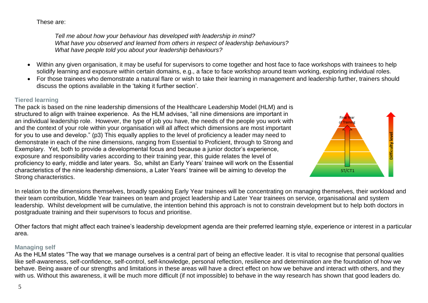These are:

*Tell me about how your behaviour has developed with leadership in mind? What have you observed and learned from others in respect of leadership behaviours? What have people told you about your leadership behaviours?*

- Within any given organisation, it may be useful for supervisors to come together and host face to face workshops with trainees to help solidify learning and exposure within certain domains, e.g., a face to face workshop around team working, exploring individual roles.
- For those trainees who demonstrate a natural flare or wish to take their learning in management and leadership further, trainers should discuss the options available in the 'taking it further section'.

### **Tiered learning**

The pack is based on the nine leadership dimensions of the Healthcare Leadership Model (HLM) and is structured to align with trainee experience. As the HLM advises, "all nine dimensions are important in an individual leadership role. However, the type of job you have, the needs of the people you work with and the context of your role within your organisation will all affect which dimensions are most important for you to use and develop." (p3) This equally applies to the level of proficiency a leader may need to demonstrate in each of the nine dimensions, ranging from Essential to Proficient, through to Strong and Exemplary. Yet, both to provide a developmental focus and because a junior doctor's experience, exposure and responsibility varies according to their training year, this guide relates the level of proficiency to early, middle and later years. So, whilst an Early Years' trainee will work on the Essential characteristics of the nine leadership dimensions, a Later Years' trainee will be aiming to develop the Strong characteristics.



In relation to the dimensions themselves, broadly speaking Early Year trainees will be concentrating on managing themselves, their workload and their team contribution, Middle Year trainees on team and project leadership and Later Year trainees on service, organisational and system leadership. Whilst development will be cumulative, the intention behind this approach is not to constrain development but to help both doctors in postgraduate training and their supervisors to focus and prioritise.

Other factors that might affect each trainee's leadership development agenda are their preferred learning style, experience or interest in a particular area.

### **Managing self**

As the HLM states "The way that we manage ourselves is a central part of being an effective leader. It is vital to recognise that personal qualities like self-awareness, self-confidence, self-control, self-knowledge, personal reflection, resilience and determination are the foundation of how we behave. Being aware of our strengths and limitations in these areas will have a direct effect on how we behave and interact with others, and they with us. Without this awareness, it will be much more difficult (if not impossible) to behave in the way research has shown that good leaders do.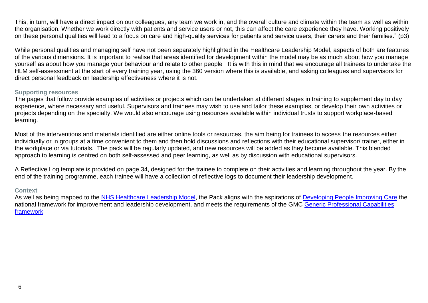This, in turn, will have a direct impact on our colleagues, any team we work in, and the overall culture and climate within the team as well as within the organisation. Whether we work directly with patients and service users or not, this can affect the care experience they have. Working positively on these personal qualities will lead to a focus on care and high-quality services for patients and service users, their carers and their families." (p3)

While personal qualities and managing self have not been separately highlighted in the Healthcare Leadership Model, aspects of both are features of the various dimensions. It is important to realise that areas identified for development within the model may be as much about how you manage yourself as about how you manage your behaviour and relate to other people It is with this in mind that we encourage all trainees to undertake the HLM self-assessment at the start of every training year, using the 360 version where this is available, and asking colleagues and supervisors for direct personal feedback on leadership effectiveness where it is not.

### **Supporting resources**

The pages that follow provide examples of activities or projects which can be undertaken at different stages in training to supplement day to day experience, where necessary and useful. Supervisors and trainees may wish to use and tailor these examples, or develop their own activities or projects depending on the specialty. We would also encourage using resources available within individual trusts to support workplace-based learning.

Most of the interventions and materials identified are either online tools or resources, the aim being for trainees to access the resources either individually or in groups at a time convenient to them and then hold discussions and reflections with their educational supervisor/ trainer, either in the workplace or via tutorials. The pack will be regularly updated, and new resources will be added as they become available. This blended approach to learning is centred on both self-assessed and peer learning, as well as by discussion with educational supervisors.

A Reflective Log template is provided on page 34, designed for the trainee to complete on their activities and learning throughout the year. By the end of the training programme, each trainee will have a collection of reflective logs to document their leadership development.

#### **Context**

As well as being mapped to the [NHS Healthcare Leadership Model,](https://www.leadershipacademy.nhs.uk/wp-content/uploads/2014/10/NHSLeadership-LeadershipModel-colour.pdf) the Pack aligns with the aspirations of [Developing People Improving Care](https://improvement.nhs.uk/documents/542/Developing_People-Improving_Care-010216.pdf) the national framework for improvement and leadership development, and meets the requirements of the GMC [Generic Professional Capabilities](https://www.gmc-uk.org/education/standards-guidance-and-curricula/standards-and-outcomes/generic-professional-capabilities-framework)  [framework](https://www.gmc-uk.org/education/standards-guidance-and-curricula/standards-and-outcomes/generic-professional-capabilities-framework)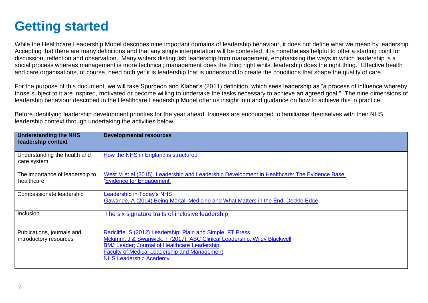### <span id="page-6-0"></span>**Getting started**

While the Healthcare Leadership Model describes nine important domains of leadership behaviour, it does not define what we mean by leadership. Accepting that there are many definitions and that any single interpretation will be contested, it is nonetheless helpful to offer a starting point for discussion, reflection and observation. Many writers distinguish leadership from management, emphasising the ways in which leadership is a social process whereas management is more technical; management does the thing right whilst leadership does the right thing. Effective health and care organisations, of course, need both yet it is leadership that is understood to create the conditions that shape the quality of care.

For the purpose of this document, we will take Spurgeon and Klaber's (2011) definition, which sees leadership as "a process of influence whereby those subject to it are inspired, motivated or become willing to undertake the tasks necessary to achieve an agreed goal." The nine dimensions of leadership behaviour described in the Healthcare Leadership Model offer us insight into and guidance on how to achieve this in practice.

Before identifying leadership development priorities for the year ahead, trainees are encouraged to familiarise themselves with their NHS leadership context through undertaking the activities below.

| <b>Understanding the NHS</b><br>leadership context   | <b>Developmental resources</b>                                                                                                                                                                                                                                                        |
|------------------------------------------------------|---------------------------------------------------------------------------------------------------------------------------------------------------------------------------------------------------------------------------------------------------------------------------------------|
| Understanding the health and<br>care system          | How the NHS in England is structured                                                                                                                                                                                                                                                  |
| The importance of leadership to<br>healthcare        | West M et al (2015) Leadership and Leadership Development in Healthcare: The Evidence Base.<br>'Evidence for Engagement'                                                                                                                                                              |
| Compassionate leadership                             | Leadership in Today's NHS<br>Gawande, A (2014) Being Mortal: Medicine and What Matters in the End, Deckle Edge                                                                                                                                                                        |
| Inclusion                                            | The six signature traits of inclusive leadership                                                                                                                                                                                                                                      |
| Publications, journals and<br>introductory resources | Radcliffe, S (2012) Leadership: Plain and Simple, FT Press<br>Mckimm, J & Swanwick, T (2017), ABC Clinical Leadership, Wiley Blackwell<br><b>BMJ Leader; Journal of Healthcare Leadership</b><br><b>Faculty of Medical Leadership and Management</b><br><b>NHS Leadership Academy</b> |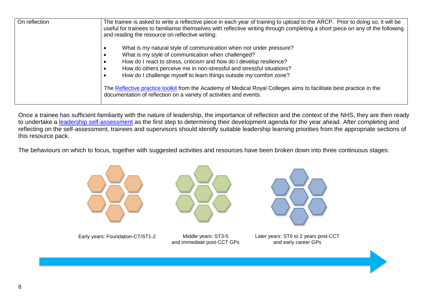<span id="page-7-0"></span>

| On reflection | The trainee is asked to write a reflective piece in each year of training to upload to the ARCP. Prior to doing so, it will be<br>useful for trainees to familiarise themselves with reflective writing through completing a short piece on any of the following<br>and reading the resource on reflective writing:                            |
|---------------|------------------------------------------------------------------------------------------------------------------------------------------------------------------------------------------------------------------------------------------------------------------------------------------------------------------------------------------------|
|               | What is my natural style of communication when not under pressure?<br>What is my style of communication when challenged?<br>How do I react to stress, criticism and how do I develop resilience?<br>How do others perceive me in non-stressful and stressful situations?<br>How do I challenge myself to learn things outside my comfort zone? |
|               | The Reflective practice toolkit from the Academy of Medical Royal Colleges aims to facilitate best practice in the<br>documentation of reflection on a variety of activities and events.                                                                                                                                                       |

Once a trainee has sufficient familiarity with the nature of leadership, the importance of reflection and the context of the NHS, they are then ready to undertake a [leadership self-assessment](https://www.leadershipacademy.nhs.uk/resources/healthcare-leadership-model/supporting-tools-resources/healthcare-leadership-model-self-assessment-tool/) as the first step to determining their development agenda for the year ahead. After completing and reflecting on the self-assessment, trainees and supervisors should identify suitable leadership learning priorities from the appropriate sections of this resource pack.

The behaviours on which to focus, together with suggested activities and resources have been broken down into three continuous stages:





Early years: Foundation-CT/ST1-2 Middle years: ST3-5

and immediate post-CCT GPs



Later years: ST6 to 2 years post-CCT and early career GPs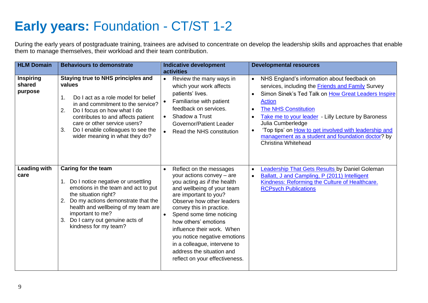## **Early years:** Foundation - CT/ST 1-2

During the early years of postgraduate training, trainees are advised to concentrate on develop the leadership skills and approaches that enable them to manage themselves, their workload and their team contribution.

| <b>HLM Domain</b>                     | <b>Behaviours to demonstrate</b>                                                                                                                                                                                                                                                                                              | <b>Indicative development</b><br>activities                                                                                                                                                                                                                                                                                                                                                                                       | <b>Developmental resources</b>                                                                                                                                                                                                                                                                                                                                                                                                                           |
|---------------------------------------|-------------------------------------------------------------------------------------------------------------------------------------------------------------------------------------------------------------------------------------------------------------------------------------------------------------------------------|-----------------------------------------------------------------------------------------------------------------------------------------------------------------------------------------------------------------------------------------------------------------------------------------------------------------------------------------------------------------------------------------------------------------------------------|----------------------------------------------------------------------------------------------------------------------------------------------------------------------------------------------------------------------------------------------------------------------------------------------------------------------------------------------------------------------------------------------------------------------------------------------------------|
| <b>Inspiring</b><br>shared<br>purpose | <b>Staying true to NHS principles and</b><br>values<br>Do I act as a role model for belief<br>1.<br>in and commitment to the service?<br>2.<br>Do I focus on how what I do<br>contributes to and affects patient<br>care or other service users?<br>Do I enable colleagues to see the<br>3.<br>wider meaning in what they do? | Review the many ways in<br>$\bullet$<br>which your work affects<br>patients' lives.<br>Familiarise with patient<br>$\bullet$<br>feedback on services.<br>Shadow a Trust<br>$\bullet$<br><b>Governor/Patient Leader</b><br>Read the NHS constitution<br>$\bullet$                                                                                                                                                                  | NHS England's information about feedback on<br>$\bullet$<br>services, including the <b>Friends and Family</b> Survey<br>Simon Sinek's Ted Talk on How Great Leaders Inspire<br>Action<br><b>The NHS Constitution</b><br>$\bullet$<br>Take me to your leader - Lilly Lecture by Baroness<br>Julia Cumberledge<br>'Top tips' on <b>How to get involved with leadership and</b><br>management as a student and foundation doctor? by<br>Christina Whitehead |
| <b>Leading with</b><br>care           | Caring for the team<br>Do I notice negative or unsettling<br>1.<br>emotions in the team and act to put<br>the situation right?<br>Do my actions demonstrate that the<br>2.<br>health and wellbeing of my team are<br>important to me?<br>Do I carry out genuine acts of<br>3.<br>kindness for my team?                        | Reflect on the messages<br>$\bullet$<br>your actions convey - are<br>you acting as if the health<br>and wellbeing of your team<br>are important to you?<br>Observe how other leaders<br>convey this in practice.<br>Spend some time noticing<br>how others' emotions<br>influence their work. When<br>you notice negative emotions<br>in a colleague, intervene to<br>address the situation and<br>reflect on your effectiveness. | Leadership That Gets Results by Daniel Goleman<br>$\bullet$<br>Ballatt, J and Campling, P (2011) Intelligent<br>$\bullet$<br>Kindness: Reforming the Culture of Healthcare.<br><b>RCPsych Publications</b>                                                                                                                                                                                                                                               |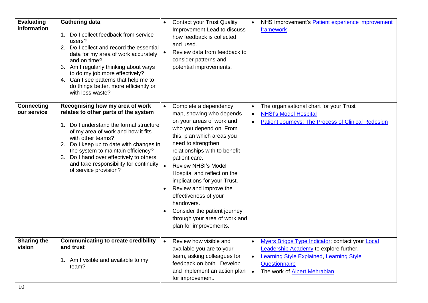| <b>Evaluating</b><br>information | <b>Gathering data</b><br>1. Do I collect feedback from service<br>users?<br>2. Do I collect and record the essential<br>data for my area of work accurately<br>and on time?<br>3. Am I regularly thinking about ways<br>to do my job more effectively?<br>4. Can I see patterns that help me to<br>do things better, more efficiently or<br>with less waste?                 |           | <b>Contact your Trust Quality</b><br>Improvement Lead to discuss<br>how feedback is collected<br>and used.<br>Review data from feedback to<br>consider patterns and<br>potential improvements.                                                                                                                                                                                                                                                                           | $\bullet$                           | NHS Improvement's Patient experience improvement<br>framework                                                                                                                                               |
|----------------------------------|------------------------------------------------------------------------------------------------------------------------------------------------------------------------------------------------------------------------------------------------------------------------------------------------------------------------------------------------------------------------------|-----------|--------------------------------------------------------------------------------------------------------------------------------------------------------------------------------------------------------------------------------------------------------------------------------------------------------------------------------------------------------------------------------------------------------------------------------------------------------------------------|-------------------------------------|-------------------------------------------------------------------------------------------------------------------------------------------------------------------------------------------------------------|
| <b>Connecting</b><br>our service | Recognising how my area of work<br>relates to other parts of the system<br>1. Do I understand the formal structure<br>of my area of work and how it fits<br>with other teams?<br>2. Do I keep up to date with changes in<br>the system to maintain efficiency?<br>3. Do I hand over effectively to others<br>and take responsibility for continuity<br>of service provision? |           | Complete a dependency<br>map, showing who depends<br>on your areas of work and<br>who you depend on. From<br>this, plan which areas you<br>need to strengthen<br>relationships with to benefit<br>patient care.<br><b>Review NHSI's Model</b><br>Hospital and reflect on the<br>implications for your Trust.<br>Review and improve the<br>effectiveness of your<br>handovers.<br>Consider the patient journey<br>through your area of work and<br>plan for improvements. | $\bullet$<br>$\bullet$<br>$\bullet$ | The organisational chart for your Trust<br><b>NHSI's Model Hospital</b><br><b>Patient Journeys: The Process of Clinical Redesign</b>                                                                        |
| <b>Sharing the</b><br>vision     | <b>Communicating to create credibility</b><br>and trust<br>1. Am I visible and available to my<br>team?                                                                                                                                                                                                                                                                      | $\bullet$ | Review how visible and<br>available you are to your<br>team, asking colleagues for<br>feedback on both. Develop<br>and implement an action plan<br>for improvement.                                                                                                                                                                                                                                                                                                      | $\bullet$<br>$\bullet$<br>$\bullet$ | Myers Briggs Type Indicator; contact your Local<br><b>Leadership Academy to explore further.</b><br><b>Learning Style Explained, Learning Style</b><br>Questionnaire<br>The work of <b>Albert Mehrabian</b> |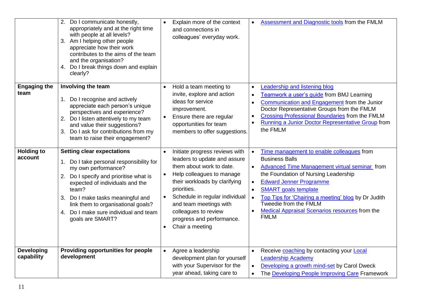|                                 | 2. Do I communicate honestly,<br>appropriately and at the right time<br>with people at all levels?<br>Am I helping other people<br>3.<br>appreciate how their work<br>contributes to the aims of the team<br>and the organisation?<br>Do I break things down and explain<br>4.<br>clearly?                                            | $\bullet$                           | Explain more of the context<br>and connections in<br>colleagues' everyday work.                                                                                                                                                                                                                             | $\bullet$                                                     | Assessment and Diagnostic tools from the FMLM                                                                                                                                                                                                                                                                                                                                        |
|---------------------------------|---------------------------------------------------------------------------------------------------------------------------------------------------------------------------------------------------------------------------------------------------------------------------------------------------------------------------------------|-------------------------------------|-------------------------------------------------------------------------------------------------------------------------------------------------------------------------------------------------------------------------------------------------------------------------------------------------------------|---------------------------------------------------------------|--------------------------------------------------------------------------------------------------------------------------------------------------------------------------------------------------------------------------------------------------------------------------------------------------------------------------------------------------------------------------------------|
| <b>Engaging the</b><br>team     | Involving the team<br>Do I recognise and actively<br>appreciate each person's unique<br>perspectives and experience?<br>Do I listen attentively to my team<br>and value their suggestions?<br>Do I ask for contributions from my<br>3.<br>team to raise their engagement?                                                             | $\bullet$<br>$\bullet$              | Hold a team meeting to<br>invite, explore and action<br>ideas for service<br>improvement.<br>Ensure there are regular<br>opportunities for team<br>members to offer suggestions.                                                                                                                            | $\bullet$<br>$\bullet$<br>$\bullet$<br>$\bullet$<br>$\bullet$ | eadership and listening blog<br>Teamwork a user's quide from BMJ Learning<br>Communication and Engagement from the Junior<br>Doctor Representative Groups from the FMLM<br><b>Crossing Professional Boundaries from the FMLM</b><br>Running a Junior Doctor Representative Group from<br>the FMLM                                                                                    |
| <b>Holding to</b><br>account    | <b>Setting clear expectations</b><br>Do I take personal responsibility for<br>my own performance?<br>Do I specify and prioritise what is<br>2.<br>expected of individuals and the<br>team?<br>3. Do I make tasks meaningful and<br>link them to organisational goals?<br>Do I make sure individual and team<br>4.<br>goals are SMART? | $\bullet$<br>$\bullet$<br>$\bullet$ | Initiate progress reviews with<br>leaders to update and assure<br>them about work to date.<br>Help colleagues to manage<br>their workloads by clarifying<br>priorities.<br>Schedule in regular individual<br>and team meetings with<br>colleagues to review<br>progress and performance.<br>Chair a meeting | $\bullet$<br>$\bullet$<br>$\bullet$<br>$\bullet$<br>$\bullet$ | Time management to enable colleagues from<br><b>Business Balls</b><br>Advanced Time Management virtual seminar from<br>the Foundation of Nursing Leadership<br><b>Edward Jenner Programme</b><br><b>SMART</b> goals template<br>Top Tips for 'Chairing a meeting' blog by Dr Judith<br>Tweedie from the FMLM<br><b>Medical Appraisal Scenarios resources from the</b><br><b>FMLM</b> |
| <b>Developing</b><br>capability | Providing opportunities for people<br>development                                                                                                                                                                                                                                                                                     | $\bullet$                           | Agree a leadership<br>development plan for yourself<br>with your Supervisor for the<br>year ahead, taking care to                                                                                                                                                                                           | $\bullet$<br>$\bullet$<br>$\bullet$                           | Receive coaching by contacting your Local<br><b>Leadership Academy</b><br>Developing a growth mind-set by Carol Dweck<br>The Developing People Improving Care Framework                                                                                                                                                                                                              |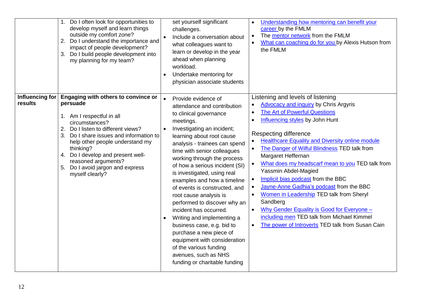|                            | Do I often look for opportunities to<br>develop myself and learn things<br>outside my comfort zone?<br>Do I understand the importance and<br>2.<br>impact of people development?<br>Do I build people development into<br>3.<br>my planning for my team?                                                                                                 | set yourself significant<br>challenges.<br>Include a conversation about<br>what colleagues want to<br>learn or develop in the year<br>ahead when planning<br>workload.<br>Undertake mentoring for<br>$\bullet$<br>physician associate students                                                                                                                                                                                                                                                                                                                                                                                                                                                  | Understanding how mentoring can benefit your<br>$\bullet$<br>career by the FMLM<br>The mentor network from the FMLM<br>$\bullet$<br>What can coaching do for you by Alexis Hutson from<br>the FMLM                                                                                                                                                                                                                                                                                                                                                                                                                                                                                                                                                                                                                     |
|----------------------------|----------------------------------------------------------------------------------------------------------------------------------------------------------------------------------------------------------------------------------------------------------------------------------------------------------------------------------------------------------|-------------------------------------------------------------------------------------------------------------------------------------------------------------------------------------------------------------------------------------------------------------------------------------------------------------------------------------------------------------------------------------------------------------------------------------------------------------------------------------------------------------------------------------------------------------------------------------------------------------------------------------------------------------------------------------------------|------------------------------------------------------------------------------------------------------------------------------------------------------------------------------------------------------------------------------------------------------------------------------------------------------------------------------------------------------------------------------------------------------------------------------------------------------------------------------------------------------------------------------------------------------------------------------------------------------------------------------------------------------------------------------------------------------------------------------------------------------------------------------------------------------------------------|
| Influencing for<br>results | Engaging with others to convince or<br>persuade<br>1. Am I respectful in all<br>circumstances?<br>Do I listen to different views?<br>2.<br>Do I share issues and information to<br>3.<br>help other people understand my<br>thinking?<br>4. Do I develop and present well-<br>reasoned arguments?<br>5. Do I avoid jargon and express<br>myself clearly? | Provide evidence of<br>$\bullet$<br>attendance and contribution<br>to clinical governance<br>meetings.<br>Investigating an incident;<br>learning about root cause<br>analysis - trainees can spend<br>time with senior colleagues<br>working through the process<br>of how a serious incident (SI)<br>is investigated, using real<br>examples and how a timeline<br>of events is constructed, and<br>root cause analysis is<br>performed to discover why an<br>incident has occurred.<br>Writing and implementing a<br>business case, e.g. bid to<br>purchase a new piece of<br>equipment with consideration<br>of the various funding<br>avenues, such as NHS<br>funding or charitable funding | Listening and levels of listening<br><b>Advocacy and inquiry by Chris Argyris</b><br>The Art of Powerful Questions<br>$\bullet$<br>Influencing styles by John Hunt<br>$\bullet$<br>Respecting difference<br><b>Healthcare Equality and Diversity online module</b><br>$\bullet$<br>The Danger of Wilful Blindness TED talk from<br>$\bullet$<br>Margaret Heffernan<br>What does my headscarf mean to you TED talk from<br>$\bullet$<br>Yassmin Abdel-Magied<br>Implicit bias podcast from the BBC<br>$\bullet$<br>Jayne-Anne Gadhia's podcast from the BBC<br>$\bullet$<br>Women in Leadership TED talk from Sheryl<br>$\bullet$<br>Sandberg<br>Why Gender Equality is Good for Everyone -<br>$\bullet$<br>including men TED talk from Michael Kimmel<br>The power of Introverts TED talk from Susan Cain<br>$\bullet$ |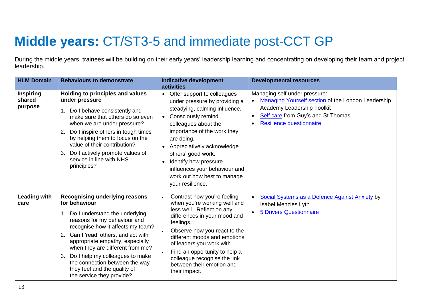## <span id="page-12-0"></span>**Middle years:** CT/ST3-5 and immediate post-CCT GP

During the middle years, trainees will be building on their early years' leadership learning and concentrating on developing their team and project leadership.

| <b>HLM Domain</b>                     | <b>Behaviours to demonstrate</b>                                                                                                                                                                                                                                                                                                                                                                                        | <b>Indicative development</b>                                                                                                                                                                                                                                                                                                                                                                                         | <b>Developmental resources</b>                                                                                                                                                                                 |
|---------------------------------------|-------------------------------------------------------------------------------------------------------------------------------------------------------------------------------------------------------------------------------------------------------------------------------------------------------------------------------------------------------------------------------------------------------------------------|-----------------------------------------------------------------------------------------------------------------------------------------------------------------------------------------------------------------------------------------------------------------------------------------------------------------------------------------------------------------------------------------------------------------------|----------------------------------------------------------------------------------------------------------------------------------------------------------------------------------------------------------------|
| <b>Inspiring</b><br>shared<br>purpose | Holding to principles and values<br>under pressure<br>Do I behave consistently and<br>make sure that others do so even<br>when we are under pressure?<br>Do I inspire others in tough times<br>2.<br>by helping them to focus on the<br>value of their contribution?<br>Do I actively promote values of<br>3.<br>service in line with NHS<br>principles?                                                                | <b>activities</b><br>Offer support to colleagues<br>$\bullet$<br>under pressure by providing a<br>steadying, calming influence.<br>Consciously remind<br>$\bullet$<br>colleagues about the<br>importance of the work they<br>are doing.<br>Appreciatively acknowledge<br>others' good work.<br>Identify how pressure<br>$\bullet$<br>influences your behaviour and<br>work out how best to manage<br>your resilience. | Managing self under pressure:<br>Managing Yourself section of the London Leadership<br>Academy Leadership Toolkit<br>Self care from Guy's and St Thomas'<br>$\bullet$<br>Resilience questionnaire<br>$\bullet$ |
| <b>Leading with</b><br>care           | <b>Recognising underlying reasons</b><br>for behaviour<br>Do I understand the underlying<br>reasons for my behaviour and<br>recognise how it affects my team?<br>Can I 'read' others, and act with<br>2.<br>appropriate empathy, especially<br>when they are different from me?<br>Do I help my colleagues to make<br>3.<br>the connection between the way<br>they feel and the quality of<br>the service they provide? | Contrast how you're feeling<br>when you're working well and<br>less well. Reflect on any<br>differences in your mood and<br>feelings.<br>Observe how you react to the<br>different moods and emotions<br>of leaders you work with.<br>Find an opportunity to help a<br>colleague recognise the link<br>between their emotion and<br>their impact.                                                                     | Social Systems as a Defence Against Anxiety by<br>$\bullet$<br><b>Isabel Menzies Lyth</b><br><b>5 Drivers Questionnaire</b>                                                                                    |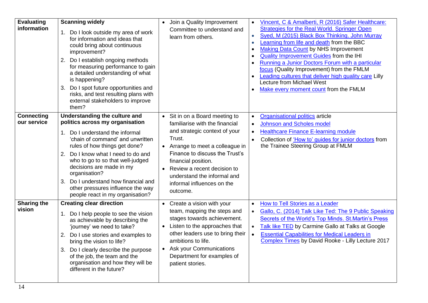| <b>Evaluating</b><br>information | <b>Scanning widely</b><br>1. Do I look outside my area of work<br>for information and ideas that<br>could bring about continuous<br>improvement?<br>Do I establish ongoing methods<br>2.<br>for measuring performance to gain<br>a detailed understanding of what<br>is happening?<br>Do I spot future opportunities and<br>З.<br>risks, and test resulting plans with<br>external stakeholders to improve<br>them?                | Join a Quality Improvement<br>$\bullet$<br>Committee to understand and<br>learn from others.                                                                                                                                                                                                                                | Vincent, C & Amalberti, R (2016) Safer Healthcare:<br>$\bullet$<br><b>Strategies for the Real World. Springer Open</b><br>Syed, M (2015) Black Box Thinking. John Murray<br>$\bullet$<br>Learning from life and death from the BBC<br>$\bullet$<br><b>Making Data Count by NHS Improvement</b><br>$\bullet$<br><b>Quality Improvement Guides from the IHI</b><br>$\bullet$<br>Running a Junior Doctors Forum with a particular<br>$\bullet$<br>focus (Quality Improvement) from the FMLM<br>Leading cultures that deliver high quality care Lilly<br>$\bullet$<br>Lecture from Michael West<br>Make every moment count from the FMLM<br>$\bullet$ |
|----------------------------------|------------------------------------------------------------------------------------------------------------------------------------------------------------------------------------------------------------------------------------------------------------------------------------------------------------------------------------------------------------------------------------------------------------------------------------|-----------------------------------------------------------------------------------------------------------------------------------------------------------------------------------------------------------------------------------------------------------------------------------------------------------------------------|---------------------------------------------------------------------------------------------------------------------------------------------------------------------------------------------------------------------------------------------------------------------------------------------------------------------------------------------------------------------------------------------------------------------------------------------------------------------------------------------------------------------------------------------------------------------------------------------------------------------------------------------------|
| <b>Connecting</b><br>our service | Understanding the culture and<br>politics across my organisation<br>Do I understand the informal<br>$\mathbf{1}$ .<br>'chain of command' and unwritten<br>rules of how things get done?<br>2. Do I know what I need to do and<br>who to go to so that well-judged<br>decisions are made in my<br>organisation?<br>Do I understand how financial and<br>3.<br>other pressures influence the way<br>people react in my organisation? | Sit in on a Board meeting to<br>$\bullet$<br>familiarise with the financial<br>and strategic context of your<br>Trust.<br>• Arrange to meet a colleague in<br>Finance to discuss the Trust's<br>financial position.<br>Review a recent decision to<br>understand the informal and<br>informal influences on the<br>outcome. | <b>Organisational politics</b> article<br>$\bullet$<br><b>Johnson and Scholes model</b><br>$\bullet$<br><b>Healthcare Finance E-learning module</b><br>$\bullet$<br>Collection of 'How to' quides for junior doctors from<br>$\bullet$<br>the Trainee Steering Group at FMLM                                                                                                                                                                                                                                                                                                                                                                      |
| <b>Sharing the</b><br>vision     | <b>Creating clear direction</b><br>1. Do I help people to see the vision<br>as achievable by describing the<br>'journey' we need to take?<br>2. Do I use stories and examples to<br>bring the vision to life?<br>3. Do I clearly describe the purpose<br>of the job, the team and the<br>organisation and how they will be<br>different in the future?                                                                             | Create a vision with your<br>$\bullet$<br>team, mapping the steps and<br>stages towards achievement.<br>Listen to the approaches that<br>other leaders use to bring their<br>ambitions to life.<br>Ask your Communications<br>$\bullet$<br>Department for examples of<br>patient stories.                                   | How to Tell Stories as a Leader<br>$\bullet$<br>Gallo, C. (2014) Talk Like Ted: The 9 Public Speaking<br>$\bullet$<br>Secrets of the World's Top Minds. St. Martin's Press<br>Talk like TED by Carmine Gallo at Talks at Google<br>$\bullet$<br><b>Essential Capabilities for Medical Leaders in</b><br>$\bullet$<br>Complex Times by David Rooke - Lilly Lecture 2017                                                                                                                                                                                                                                                                            |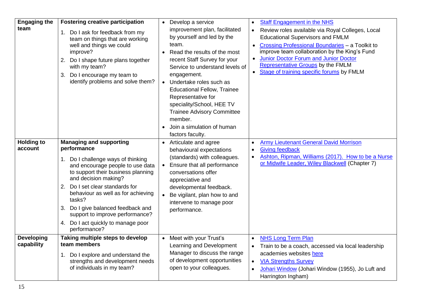| <b>Engaging the</b><br>team     | <b>Fostering creative participation</b><br>Do I ask for feedback from my<br>team on things that are working<br>well and things we could<br>improve?<br>Do I shape future plans together<br>2.<br>with my team?<br>Do I encourage my team to<br>3.<br>identify problems and solve them?                                                                                                                        | • Develop a service<br><b>Staff Engagement in the NHS</b><br>$\bullet$<br>improvement plan, facilitated<br>Review roles available via Royal Colleges, Local<br>$\bullet$<br>by yourself and led by the<br><b>Educational Supervisors and FMLM</b><br>team.<br>Crossing Professional Boundaries - a Toolkit to<br>improve team collaboration by the King's Fund<br>Read the results of the most<br>Junior Doctor Forum and Junior Doctor<br>recent Staff Survey for your<br>Representative Groups by the FMLM<br>Service to understand levels of<br>• Stage of training specific forums by FMLM<br>engagement.<br>Undertake roles such as<br>$\bullet$<br><b>Educational Fellow, Trainee</b><br>Representative for<br>speciality/School, HEE TV<br><b>Trainee Advisory Committee</b><br>member.<br>Join a simulation of human<br>factors faculty. |
|---------------------------------|---------------------------------------------------------------------------------------------------------------------------------------------------------------------------------------------------------------------------------------------------------------------------------------------------------------------------------------------------------------------------------------------------------------|--------------------------------------------------------------------------------------------------------------------------------------------------------------------------------------------------------------------------------------------------------------------------------------------------------------------------------------------------------------------------------------------------------------------------------------------------------------------------------------------------------------------------------------------------------------------------------------------------------------------------------------------------------------------------------------------------------------------------------------------------------------------------------------------------------------------------------------------------|
| <b>Holding to</b><br>account    | <b>Managing and supporting</b><br>performance<br>Do I challenge ways of thinking<br>and encourage people to use data<br>to support their business planning<br>and decision making?<br>Do I set clear standards for<br>2.<br>behaviour as well as for achieving<br>tasks?<br>Do I give balanced feedback and<br>З.<br>support to improve performance?<br>Do I act quickly to manage poor<br>4.<br>performance? | <b>Army Lieutenant General David Morrison</b><br>• Articulate and agree<br>$\bullet$<br><b>Giving feedback</b><br>behavioural expectations<br>$\bullet$<br>Ashton, Ripman, Williams (2017). How to be a Nurse<br>(standards) with colleagues.<br>$\bullet$<br>or Midwife Leader, Wiley Blackwell (Chapter 7)<br>Ensure that all performance<br>$\bullet$<br>conversations offer<br>appreciative and<br>developmental feedback.<br>Be vigilant, plan how to and<br>intervene to manage poor<br>performance.                                                                                                                                                                                                                                                                                                                                       |
| <b>Developing</b><br>capability | Taking multiple steps to develop<br>team members<br>Do I explore and understand the<br>1.<br>strengths and development needs<br>of individuals in my team?                                                                                                                                                                                                                                                    | <b>NHS Long Term Plan</b><br>Meet with your Trust's<br>$\bullet$<br>Learning and Development<br>Train to be a coach, accessed via local leadership<br>$\bullet$<br>Manager to discuss the range<br>academies websites here<br>of development opportunities<br><b>VIA Strengths Survey</b><br>$\bullet$<br>open to your colleagues.<br>Johari Window (Johari Window (1955), Jo Luft and<br>$\bullet$<br>Harrington Ingham)                                                                                                                                                                                                                                                                                                                                                                                                                        |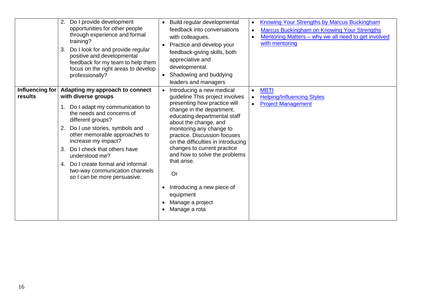|                            | 2. Do I provide development<br>opportunities for other people<br>through experience and formal<br>training?<br>Do I look for and provide regular<br>3.<br>positive and developmental<br>feedback for my team to help them<br>focus on the right areas to develop<br>professionally?                                                                                                                         | Build regular developmental<br><b>Knowing Your Strengths by Marcus Buckingham</b><br>$\bullet$<br>feedback into conversations<br><b>Marcus Buckingham on Knowing Your Strengths</b><br>$\bullet$<br>Mentoring Matters - why we all need to get involved<br>with colleagues.<br>$\bullet$<br>with mentoring<br>Practice and develop your<br>feedback-giving skills, both<br>appreciative and<br>developmental.<br>Shadowing and buddying<br>leaders and managers                                                                                         |
|----------------------------|-------------------------------------------------------------------------------------------------------------------------------------------------------------------------------------------------------------------------------------------------------------------------------------------------------------------------------------------------------------------------------------------------------------|---------------------------------------------------------------------------------------------------------------------------------------------------------------------------------------------------------------------------------------------------------------------------------------------------------------------------------------------------------------------------------------------------------------------------------------------------------------------------------------------------------------------------------------------------------|
| Influencing for<br>results | Adapting my approach to connect<br>with diverse groups<br>1. Do I adapt my communication to<br>the needs and concerns of<br>different groups?<br>2. Do I use stories, symbols and<br>other memorable approaches to<br>increase my impact?<br>Do I check that others have<br>3.<br>understood me?<br>Do I create formal and informal<br>4.<br>two-way communication channels<br>so I can be more persuasive. | <b>MBTI</b><br>Introducing a new medical<br>$\bullet$<br>quideline This project involves<br><b>Helping/Influencing Styles</b><br>presenting how practice will<br><b>Project Management</b><br>change in the department,<br>educating departmental staff<br>about the change, and<br>monitoring any change to<br>practice. Discussion focuses<br>on the difficulties in introducing<br>changes to current practice<br>and how to solve the problems<br>that arise.<br>Or<br>Introducing a new piece of<br>equipment<br>Manage a project<br>Manage a rota |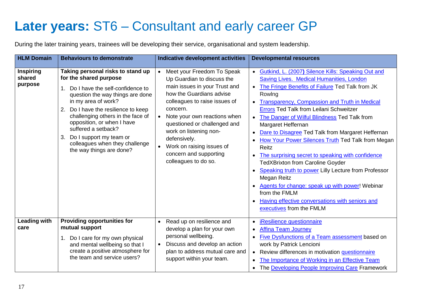## <span id="page-16-0"></span>**Later years:** ST6 – Consultant and early career GP

During the later training years, trainees will be developing their service, organisational and system leadership.

| <b>HLM Domain</b>                     | <b>Behaviours to demonstrate</b>                                                                                                                                                                                                                                                                                                                                                                    | <b>Indicative development activities</b>                                                                                                                                                                                                                                                                                                                                                           | <b>Developmental resources</b>                                                                                                                                                                                                                                                                                                                                                                                                                                                                                                                                                                                                                                                                                                                                                                              |
|---------------------------------------|-----------------------------------------------------------------------------------------------------------------------------------------------------------------------------------------------------------------------------------------------------------------------------------------------------------------------------------------------------------------------------------------------------|----------------------------------------------------------------------------------------------------------------------------------------------------------------------------------------------------------------------------------------------------------------------------------------------------------------------------------------------------------------------------------------------------|-------------------------------------------------------------------------------------------------------------------------------------------------------------------------------------------------------------------------------------------------------------------------------------------------------------------------------------------------------------------------------------------------------------------------------------------------------------------------------------------------------------------------------------------------------------------------------------------------------------------------------------------------------------------------------------------------------------------------------------------------------------------------------------------------------------|
| <b>Inspiring</b><br>shared<br>purpose | Taking personal risks to stand up<br>for the shared purpose<br>Do I have the self-confidence to<br>1.<br>question the way things are done<br>in my area of work?<br>Do I have the resilience to keep<br>2.<br>challenging others in the face of<br>opposition, or when I have<br>suffered a setback?<br>Do I support my team or<br>3.<br>colleagues when they challenge<br>the way things are done? | Meet your Freedom To Speak<br>$\bullet$<br>Up Guardian to discuss the<br>main issues in your Trust and<br>how the Guardians advise<br>colleagues to raise issues of<br>concern.<br>Note your own reactions when<br>$\bullet$<br>questioned or challenged and<br>work on listening non-<br>defensively.<br>Work on raising issues of<br>$\bullet$<br>concern and supporting<br>colleagues to do so. | Gutkind, L. (2007) Silence Kills: Speaking Out and<br>Saving Lives. Medical Humanities, London<br>The Fringe Benefits of Failure Ted Talk from JK<br>$\bullet$<br>Rowlng<br>Transparency, Compassion and Truth in Medical<br><b>Errors Ted Talk from Leilani Schweitzer</b><br>The Danger of Wilful Blindness Ted Talk from<br>$\bullet$<br>Margaret Heffernan<br>Dare to Disagree Ted Talk from Margaret Heffernan<br>How Your Power Silences Truth Ted Talk from Megan<br>Reitz<br>The surprising secret to speaking with confidence<br><b>TedXBrixton from Caroline Goyder</b><br>Speaking truth to power Lilly Lecture from Professor<br>Megan Reitz<br>Agents for change: speak up with power! Webinar<br>from the FMLM<br>Having effective conversations with seniors and<br>executives from the FMLM |
| <b>Leading with</b><br>care           | <b>Providing opportunities for</b><br>mutual support<br>Do I care for my own physical<br>and mental wellbeing so that I<br>create a positive atmosphere for<br>the team and service users?                                                                                                                                                                                                          | Read up on resilience and<br>$\bullet$<br>develop a plan for your own<br>personal wellbeing.<br>Discuss and develop an action<br>$\bullet$<br>plan to address mutual care and<br>support within your team.                                                                                                                                                                                         | iResilience questionnaire<br>$\bullet$<br><b>Affina Team Journey</b><br>$\bullet$<br>Five Dysfunctions of a Team assessment based on<br>$\bullet$<br>work by Patrick Lencioni<br>Review differences in motivation questionnaire<br>$\bullet$<br>The Importance of Working in an Effective Team<br>The Developing People Improving Care Framework<br>$\bullet$                                                                                                                                                                                                                                                                                                                                                                                                                                               |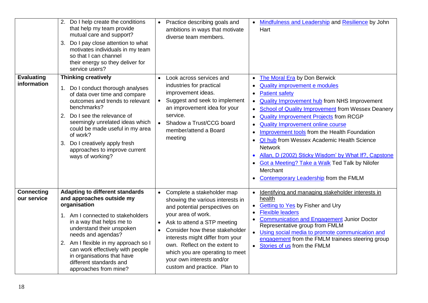|                                  | 2. Do I help create the conditions<br>that help my team provide<br>mutual care and support?<br>Do I pay close attention to what<br>3.<br>motivates individuals in my team<br>so that I can channel<br>their energy so they deliver for<br>service users?                                                                                                               | Practice describing goals and<br>$\bullet$<br>ambitions in ways that motivate<br>diverse team members.                                                                                                                                                                                                                                                                                | Mindfulness and Leadership and Resilience by John<br>Hart                                                                                                                                                                                                                                                                                                                                                                                                                                                                                                                                                                                                                                                                             |
|----------------------------------|------------------------------------------------------------------------------------------------------------------------------------------------------------------------------------------------------------------------------------------------------------------------------------------------------------------------------------------------------------------------|---------------------------------------------------------------------------------------------------------------------------------------------------------------------------------------------------------------------------------------------------------------------------------------------------------------------------------------------------------------------------------------|---------------------------------------------------------------------------------------------------------------------------------------------------------------------------------------------------------------------------------------------------------------------------------------------------------------------------------------------------------------------------------------------------------------------------------------------------------------------------------------------------------------------------------------------------------------------------------------------------------------------------------------------------------------------------------------------------------------------------------------|
| <b>Evaluating</b><br>information | <b>Thinking creatively</b><br>1. Do I conduct thorough analyses<br>of data over time and compare<br>outcomes and trends to relevant<br>benchmarks?<br>Do I see the relevance of<br>2.<br>seemingly unrelated ideas which<br>could be made useful in my area<br>of work?<br>Do I creatively apply fresh<br>3.<br>approaches to improve current<br>ways of working?      | Look across services and<br>$\bullet$<br>industries for practical<br>improvement ideas.<br>Suggest and seek to implement<br>$\bullet$<br>an improvement idea for your<br>service.<br>Shadow a Trust/CCG board<br>$\bullet$<br>member/attend a Board<br>meeting                                                                                                                        | The Moral Era by Don Berwick<br>$\bullet$<br>Quality improvement e modules<br>$\bullet$<br><b>Patient safety</b><br>$\bullet$<br><b>Quality Improvement hub from NHS Improvement</b><br>$\bullet$<br>School of Quality Improvement from Wessex Deanery<br>$\bullet$<br><b>Quality Improvement Projects from RCGP</b><br>$\bullet$<br><b>Quality Improvement online course</b><br>$\bullet$<br>Improvement tools from the Health Foundation<br>$\bullet$<br><b>QI hub</b> from Wessex Academic Health Science<br>$\bullet$<br><b>Network</b><br>Allan, D (2002) Sticky Wisdom' by What If?, Capstone<br><b>Got a Meeting? Take a Walk Ted Talk by Nilofer</b><br>$\bullet$<br>Merchant<br><b>Contemporary Leadership from the FMLM</b> |
| <b>Connecting</b><br>our service | <b>Adapting to different standards</b><br>and approaches outside my<br>organisation<br>1. Am I connected to stakeholders<br>in a way that helps me to<br>understand their unspoken<br>needs and agendas?<br>2. Am I flexible in my approach so I<br>can work effectively with people<br>in organisations that have<br>different standards and<br>approaches from mine? | Complete a stakeholder map<br>$\bullet$<br>showing the various interests in<br>and potential perspectives on<br>your area of work.<br>Ask to attend a STP meeting<br>Consider how these stakeholder<br>$\bullet$<br>interests might differ from your<br>own. Reflect on the extent to<br>which you are operating to meet<br>your own interests and/or<br>custom and practice. Plan to | Identifying and managing stakeholder interests in<br>$\bullet$<br>health<br><b>Getting to Yes by Fisher and Ury</b><br>$\bullet$<br><b>Flexible leaders</b><br>$\bullet$<br><b>Communication and Engagement Junior Doctor</b><br>$\bullet$<br>Representative group from FMLM<br>• Using social media to promote communication and<br>engagement from the FMLM trainees steering group<br>• Stories of us from the FMLM                                                                                                                                                                                                                                                                                                                |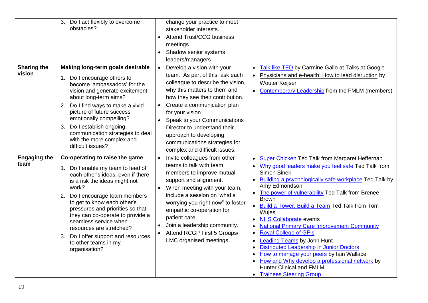|                              | 3. Do I act flexibly to overcome<br>obstacles?                                                                                                                                                                                                                                                                                                                                                                                       | change your practice to meet<br>stakeholder interests.<br><b>Attend Trust/CCG business</b><br>$\bullet$<br>meetings<br>Shadow senior systems<br>leaders/managers                                                                                                                                                                                                                                                |                                                                                                                                                                                                                                                                                                                                                                                                                                                                                                                                                                                                                                                                                                                                                           |
|------------------------------|--------------------------------------------------------------------------------------------------------------------------------------------------------------------------------------------------------------------------------------------------------------------------------------------------------------------------------------------------------------------------------------------------------------------------------------|-----------------------------------------------------------------------------------------------------------------------------------------------------------------------------------------------------------------------------------------------------------------------------------------------------------------------------------------------------------------------------------------------------------------|-----------------------------------------------------------------------------------------------------------------------------------------------------------------------------------------------------------------------------------------------------------------------------------------------------------------------------------------------------------------------------------------------------------------------------------------------------------------------------------------------------------------------------------------------------------------------------------------------------------------------------------------------------------------------------------------------------------------------------------------------------------|
| <b>Sharing the</b><br>vision | Making long-term goals desirable<br>1. Do I encourage others to<br>become 'ambassadors' for the<br>vision and generate excitement<br>about long-term aims?<br>Do I find ways to make a vivid<br>2.<br>picture of future success<br>emotionally compelling?<br>Do I establish ongoing<br>3.<br>communication strategies to deal<br>with the more complex and<br>difficult issues?                                                     | Develop a vision with your<br>$\bullet$<br>team. As part of this, ask each<br>colleague to describe the vision,<br>why this matters to them and<br>how they see their contribution.<br>Create a communication plan<br>$\bullet$<br>for your vision.<br>Speak to your Communications<br>Director to understand their<br>approach to developing<br>communications strategies for<br>complex and difficult issues. | <b>Talk like TED by Carmine Gallo at Talks at Google</b><br>Physicians and e-health: How to lead disruption by<br><b>Wouter Keijser</b><br><b>Contemporary Leadership from the FMLM (members)</b>                                                                                                                                                                                                                                                                                                                                                                                                                                                                                                                                                         |
| <b>Engaging the</b><br>team  | Co-operating to raise the game<br>1. Do I enable my team to feed off<br>each other's ideas, even if there<br>is a risk the ideas might not<br>work?<br>Do I encourage team members<br>2.<br>to get to know each other's<br>pressures and priorities so that<br>they can co-operate to provide a<br>seamless service when<br>resources are stretched?<br>3. Do I offer support and resources<br>to other teams in my<br>organisation? | Invite colleagues from other<br>teams to talk with team<br>members to improve mutual<br>support and alignment.<br>When meeting with your team,<br>include a session on 'what's<br>worrying you right now" to foster<br>empathic co-operation for<br>patient care.<br>Join a leadership community.<br>Attend RCGP First 5 Groups/<br><b>LMC</b> organised meetings                                               | • Super Chicken Ted Talk from Margaret Heffernan<br>Why good leaders make you feel safe Ted Talk from<br><b>Simon Sinek</b><br>• Building a psychologically safe workplace Ted Talk by<br>Amy Edmondson<br>• The power of vulnerability Ted Talk from Brenee<br><b>Brown</b><br><b>Build a Tower, Build a Team Ted Talk from Tom</b><br>$\bullet$<br>Wujes<br><b>NHS Collaborate events</b><br><b>National Primary Care Improvement Community</b><br><b>Royal College of GP's</b><br>$\bullet$<br><b>Leading Teams by John Hunt</b><br>$\bullet$<br>Distributed Leadership in Junior Doctors<br>How to manage your peers by lain Wallace<br>How and Why develop a professional network by<br><b>Hunter Clinical and FMLM</b><br>• Trainees Steering Group |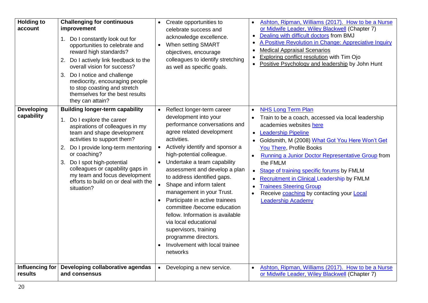| <b>Holding to</b><br>account    | <b>Challenging for continuous</b><br>improvement<br>1 <sub>1</sub><br>Do I constantly look out for<br>opportunities to celebrate and<br>reward high standards?<br>Do I actively link feedback to the<br>2.<br>overall vision for success?<br>Do I notice and challenge<br>3.<br>mediocrity, encouraging people<br>to stop coasting and stretch<br>themselves for the best results<br>they can attain? | Create opportunities to<br>$\bullet$<br>celebrate success and<br>acknowledge excellence.<br>When setting SMART<br>$\bullet$<br>objectives, encourage<br>colleagues to identify stretching<br>as well as specific goals.                                                                                                                                                                                                                                                                                                                                                                                                                                            | Ashton, Ripman, Williams (2017). How to be a Nurse<br>$\bullet$<br>or Midwife Leader, Wiley Blackwell (Chapter 7)<br>Dealing with difficult doctors from BMJ<br>$\bullet$<br>A Positive Revolution in Change: Appreciative Inquiry<br><b>Medical Appraisal Scenarios</b><br>$\bullet$<br>Exploring conflict resolution with Tim Ojo<br>$\bullet$<br>Positive Psychology and leadership by John Hunt<br>$\bullet$                                                                                                                                                                             |
|---------------------------------|-------------------------------------------------------------------------------------------------------------------------------------------------------------------------------------------------------------------------------------------------------------------------------------------------------------------------------------------------------------------------------------------------------|--------------------------------------------------------------------------------------------------------------------------------------------------------------------------------------------------------------------------------------------------------------------------------------------------------------------------------------------------------------------------------------------------------------------------------------------------------------------------------------------------------------------------------------------------------------------------------------------------------------------------------------------------------------------|----------------------------------------------------------------------------------------------------------------------------------------------------------------------------------------------------------------------------------------------------------------------------------------------------------------------------------------------------------------------------------------------------------------------------------------------------------------------------------------------------------------------------------------------------------------------------------------------|
| <b>Developing</b><br>capability | <b>Building longer-term capability</b><br>Do I explore the career<br>1.<br>aspirations of colleagues in my<br>team and shape development<br>activities to support them?<br>2. Do I provide long-term mentoring<br>or coaching?<br>Do I spot high-potential<br>3.<br>colleagues or capability gaps in<br>my team and focus development<br>efforts to build on or deal with the<br>situation?           | Reflect longer-term career<br>$\bullet$<br>development into your<br>performance conversations and<br>agree related development<br>activities.<br>Actively identify and sponsor a<br>$\bullet$<br>high-potential colleague.<br>Undertake a team capability<br>$\bullet$<br>assessment and develop a plan<br>to address identified gaps.<br>$\bullet$<br>Shape and inform talent<br>management in your Trust.<br>Participate in active trainees<br>$\bullet$<br>committee /become education<br>fellow. Information is available<br>via local educational<br>supervisors, training<br>programme directors.<br>Involvement with local trainee<br>$\bullet$<br>networks | <b>NHS Long Term Plan</b><br>$\bullet$<br>Train to be a coach, accessed via local leadership<br>$\bullet$<br>academies websites here<br>• Leadership Pipeline<br>Goldsmith, M (2008) What Got You Here Won't Get<br><b>You There, Profile Books</b><br>Running a Junior Doctor Representative Group from<br>$\bullet$<br>the FMLM<br>Stage of training specific forums by FMLM<br>$\bullet$<br>Recruitment in Clinical Leadership by FMLM<br>$\bullet$<br><b>Trainees Steering Group</b><br>$\bullet$<br>Receive coaching by contacting your Local<br>$\bullet$<br><b>Leadership Academy</b> |
| Influencing for<br>results      | Developing collaborative agendas<br>and consensus                                                                                                                                                                                                                                                                                                                                                     | Developing a new service.<br>$\bullet$                                                                                                                                                                                                                                                                                                                                                                                                                                                                                                                                                                                                                             | Ashton, Ripman, Williams (2017). How to be a Nurse<br>$\bullet$<br>or Midwife Leader, Wiley Blackwell (Chapter 7)                                                                                                                                                                                                                                                                                                                                                                                                                                                                            |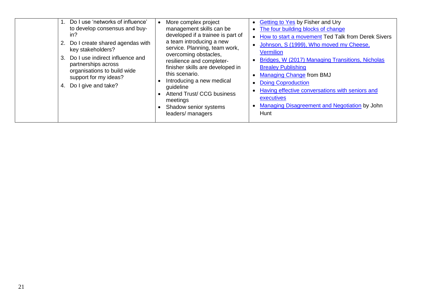| Do I use 'networks of influence'<br>to develop consensus and buy-<br>in?<br>Do I create shared agendas with<br>key stakeholders?<br>Do I use indirect influence and<br>3.<br>partnerships across<br>organisations to build wide<br>support for my ideas?<br>Do I give and take?<br>4. | More complex project<br>management skills can be<br>developed if a trainee is part of<br>a team introducing a new<br>service. Planning, team work,<br>overcoming obstacles,<br>resilience and completer-<br>finisher skills are developed in<br>this scenario.<br>Introducing a new medical<br>guideline<br>Attend Trust/ CCG business<br>meetings<br>Shadow senior systems<br>leaders/ managers | <b>Getting to Yes by Fisher and Ury</b><br>$\bullet$<br>• The four building blocks of change<br>How to start a movement Ted Talk from Derek Sivers<br>Johnson, S (1999), Who moved my Cheese,<br><b>Vermilion</b><br>Bridges, W (2017) Managing Transitions, Nicholas<br><b>Brealey Publishing</b><br><b>Managing Change from BMJ</b><br><b>Doing Coproduction</b><br>Having effective conversations with seniors and<br>executives<br>Managing Disagreement and Negotiation by John<br>Hunt |
|---------------------------------------------------------------------------------------------------------------------------------------------------------------------------------------------------------------------------------------------------------------------------------------|--------------------------------------------------------------------------------------------------------------------------------------------------------------------------------------------------------------------------------------------------------------------------------------------------------------------------------------------------------------------------------------------------|----------------------------------------------------------------------------------------------------------------------------------------------------------------------------------------------------------------------------------------------------------------------------------------------------------------------------------------------------------------------------------------------------------------------------------------------------------------------------------------------|
|---------------------------------------------------------------------------------------------------------------------------------------------------------------------------------------------------------------------------------------------------------------------------------------|--------------------------------------------------------------------------------------------------------------------------------------------------------------------------------------------------------------------------------------------------------------------------------------------------------------------------------------------------------------------------------------------------|----------------------------------------------------------------------------------------------------------------------------------------------------------------------------------------------------------------------------------------------------------------------------------------------------------------------------------------------------------------------------------------------------------------------------------------------------------------------------------------------|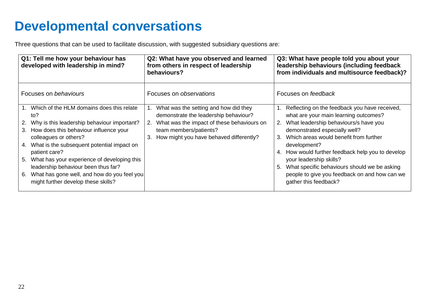## <span id="page-21-0"></span>**Developmental conversations**

Three questions that can be used to facilitate discussion, with suggested subsidiary questions are:

| Q1: Tell me how your behaviour has<br>developed with leadership in mind?                                                                                                                                                                                                                                                                                                                                                        | Q2: What have you observed and learned<br>from others in respect of leadership<br>behaviours?                                                                                                              | Q3: What have people told you about your<br>leadership behaviours (including feedback<br>from individuals and multisource feedback)?                                                                                                                                                                                                                                                                                                                      |
|---------------------------------------------------------------------------------------------------------------------------------------------------------------------------------------------------------------------------------------------------------------------------------------------------------------------------------------------------------------------------------------------------------------------------------|------------------------------------------------------------------------------------------------------------------------------------------------------------------------------------------------------------|-----------------------------------------------------------------------------------------------------------------------------------------------------------------------------------------------------------------------------------------------------------------------------------------------------------------------------------------------------------------------------------------------------------------------------------------------------------|
| Focuses on behaviours                                                                                                                                                                                                                                                                                                                                                                                                           | Focuses on <i>observations</i>                                                                                                                                                                             | Focuses on feedback                                                                                                                                                                                                                                                                                                                                                                                                                                       |
| Which of the HLM domains does this relate<br>to?<br>Why is this leadership behaviour important?<br>2.<br>3. How does this behaviour influence your<br>colleagues or others?<br>4. What is the subsequent potential impact on<br>patient care?<br>5. What has your experience of developing this<br>leadership behaviour been thus far?<br>6. What has gone well, and how do you feel you<br>might further develop these skills? | What was the setting and how did they<br>demonstrate the leadership behaviour?<br>2. What was the impact of these behaviours on<br>team members/patients?<br>How might you have behaved differently?<br>3. | Reflecting on the feedback you have received,<br>what are your main learning outcomes?<br>What leadership behaviours/s have you<br>2.<br>demonstrated especially well?<br>Which areas would benefit from further<br>3.<br>development?<br>How would further feedback help you to develop<br>4.<br>your leadership skills?<br>What specific behaviours should we be asking<br>5.<br>people to give you feedback on and how can we<br>gather this feedback? |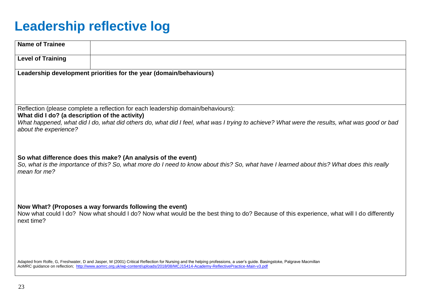## <span id="page-22-0"></span>**Leadership reflective log**

| <b>Name of Trainee</b>                                                                                                                                                                                     |                                                                                                                                                                        |  |  |
|------------------------------------------------------------------------------------------------------------------------------------------------------------------------------------------------------------|------------------------------------------------------------------------------------------------------------------------------------------------------------------------|--|--|
| <b>Level of Training</b>                                                                                                                                                                                   |                                                                                                                                                                        |  |  |
|                                                                                                                                                                                                            | Leadership development priorities for the year (domain/behaviours)                                                                                                     |  |  |
|                                                                                                                                                                                                            |                                                                                                                                                                        |  |  |
|                                                                                                                                                                                                            |                                                                                                                                                                        |  |  |
| What did I do? (a description of the activity)                                                                                                                                                             | Reflection (please complete a reflection for each leadership domain/behaviours):                                                                                       |  |  |
| about the experience?                                                                                                                                                                                      | What happened, what did I do, what did others do, what did I feel, what was I trying to achieve? What were the results, what was good or bad                           |  |  |
|                                                                                                                                                                                                            |                                                                                                                                                                        |  |  |
|                                                                                                                                                                                                            |                                                                                                                                                                        |  |  |
| So what difference does this make? (An analysis of the event)<br>So, what is the importance of this? So, what more do I need to know about this? So, what have I learned about this? What does this really |                                                                                                                                                                        |  |  |
| mean for me?                                                                                                                                                                                               |                                                                                                                                                                        |  |  |
|                                                                                                                                                                                                            |                                                                                                                                                                        |  |  |
|                                                                                                                                                                                                            | Now What? (Proposes a way forwards following the event)                                                                                                                |  |  |
| next time?                                                                                                                                                                                                 | Now what could I do? Now what should I do? Now what would be the best thing to do? Because of this experience, what will I do differently                              |  |  |
|                                                                                                                                                                                                            |                                                                                                                                                                        |  |  |
|                                                                                                                                                                                                            |                                                                                                                                                                        |  |  |
|                                                                                                                                                                                                            | Adapted from Rolfe, G, Freshwater, D and Jasper, M (2001) Critical Reflection for Nursing and the helping professions, a user's guide. Basingstoke, Palgrave Macmillan |  |  |
|                                                                                                                                                                                                            | AoMRC guidance on reflection; http://www.aomrc.org.uk/wp-content/uploads/2018/08/MCJ15414-Academy-ReflectivePractice-Main-v3.pdf                                       |  |  |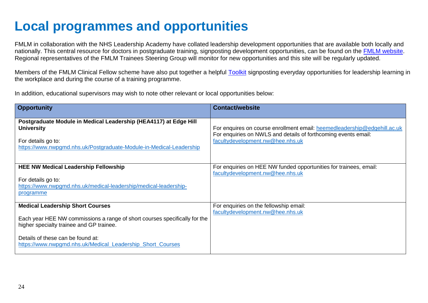## <span id="page-23-0"></span>**Local programmes and opportunities**

FMLM in collaboration with the NHS Leadership Academy have collated leadership development opportunities that are available both locally and nationally. This central resource for doctors in postgraduate training, signposting development opportunities, can be found on the [FMLM website.](https://www.fmlm.ac.uk/resources/leadership-development-opportunities-for-trainees) Regional representatives of the FMLM Trainees Steering Group will monitor for new opportunities and this site will be regularly updated.

Members of the FMLM Clinical Fellow scheme have also put together a helpful [Toolkit](https://www.fmlm.ac.uk/sites/default/files/content/resources/attachments/Developing%20medical%20leadership%20toolkit.pdf) signposting everyday opportunities for leadership learning in the workplace and during the course of a training programme.

In addition, educational supervisors may wish to note other relevant or local opportunities below:

| <b>Opportunity</b>                                                                                                                                                                                                                                                   | <b>Contact/website</b>                                                                                                                                                         |
|----------------------------------------------------------------------------------------------------------------------------------------------------------------------------------------------------------------------------------------------------------------------|--------------------------------------------------------------------------------------------------------------------------------------------------------------------------------|
| Postgraduate Module in Medical Leadership (HEA4117) at Edge Hill<br><b>University</b><br>For details go to:<br>https://www.nwpgmd.nhs.uk/Postgraduate-Module-in-Medical-Leadership                                                                                   | For enquires on course enrollment email: heemedleadership@edgehill.ac.uk<br>For enquiries on NWLS and details of forthcoming events email:<br>facultydevelopment.nw@hee.nhs.uk |
| <b>HEE NW Medical Leadership Fellowship</b><br>For details go to:<br>https://www.nwpgmd.nhs.uk/medical-leadership/medical-leadership-<br>programme                                                                                                                   | For enquiries on HEE NW funded opportunities for trainees, email:<br>facultydevelopment.nw@hee.nhs.uk                                                                          |
| <b>Medical Leadership Short Courses</b><br>Each year HEE NW commissions a range of short courses specifically for the<br>higher specialty trainee and GP trainee.<br>Details of these can be found at:<br>https://www.nwpgmd.nhs.uk/Medical Leadership Short Courses | For enquiries on the fellowship email:<br>facultydevelopment.nw@hee.nhs.uk                                                                                                     |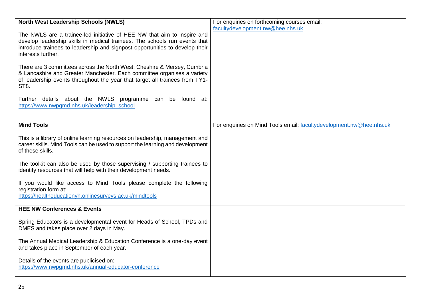| <b>North West Leadership Schools (NWLS)</b>                                                                                                                                                                                                                 | For enquiries on forthcoming courses email:                         |
|-------------------------------------------------------------------------------------------------------------------------------------------------------------------------------------------------------------------------------------------------------------|---------------------------------------------------------------------|
| The NWLS are a trainee-led initiative of HEE NW that aim to inspire and<br>develop leadership skills in medical trainees. The schools run events that<br>introduce trainees to leadership and signpost opportunities to develop their<br>interests further. | facultydevelopment.nw@hee.nhs.uk                                    |
| There are 3 committees across the North West: Cheshire & Mersey, Cumbria<br>& Lancashire and Greater Manchester. Each committee organises a variety<br>of leadership events throughout the year that target all trainees from FY1-<br>ST8.                  |                                                                     |
| Further details about the NWLS programme can be found at:<br>https://www.nwpgmd.nhs.uk/leadership school                                                                                                                                                    |                                                                     |
| <b>Mind Tools</b>                                                                                                                                                                                                                                           | For enquiries on Mind Tools email: facultydevelopment.nw@hee.nhs.uk |
| This is a library of online learning resources on leadership, management and<br>career skills. Mind Tools can be used to support the learning and development<br>of these skills.                                                                           |                                                                     |
| The toolkit can also be used by those supervising / supporting trainees to<br>identify resources that will help with their development needs.                                                                                                               |                                                                     |
| If you would like access to Mind Tools please complete the following<br>registration form at:<br>https://healtheducationyh.onlinesurveys.ac.uk/mindtools                                                                                                    |                                                                     |
| <b>HEE NW Conferences &amp; Events</b>                                                                                                                                                                                                                      |                                                                     |
| Spring Educators is a developmental event for Heads of School, TPDs and<br>DMES and takes place over 2 days in May.                                                                                                                                         |                                                                     |
| The Annual Medical Leadership & Education Conference is a one-day event<br>and takes place in September of each year.                                                                                                                                       |                                                                     |
| Details of the events are publicised on:<br>https://www.nwpgmd.nhs.uk/annual-educator-conference                                                                                                                                                            |                                                                     |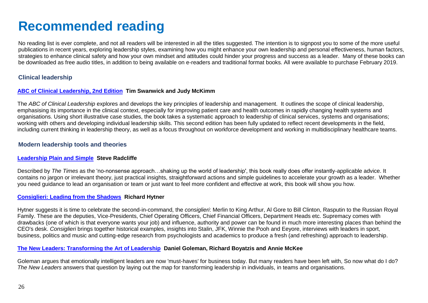## <span id="page-25-0"></span>**Recommended reading**

No reading list is ever complete, and not all readers will be interested in all the titles suggested. The intention is to signpost you to some of the more useful publications in recent years, exploring leadership styles, examining how you might enhance your own leadership and personal effectiveness, human factors, strategies to enhance clinical safety and how your own mindset and attitudes could hinder your progress and success as a leader. Many of these books can be downloaded as free audio titles, in addition to being available on e-readers and traditional format books. All were available to purchase February 2019.

### **Clinical leadership**

#### **[ABC of Clinical Leadership, 2nd Edition](https://www.amazon.co.uk/ABC-Clinical-Leadership-Tim-Swanwick/dp/1119134315/ref=sr_1_1?crid=37ZZCLHZ1L5EZ&keywords=abc+of+clinical+leadership&qid=1558119220&s=books&sprefix=abc+of+clinical+leade%2Cstripbooks%2C249&sr=1-1) Tim Swanwick and Judy McKimm**

The *ABC of Clinical Leadership* explores and develops the key principles of leadership and management. It outlines the scope of clinical leadership, emphasising its importance in the clinical context, especially for improving patient care and health outcomes in rapidly changing health systems and organisations. Using short illustrative case studies, the book takes a systematic approach to leadership of clinical services, systems and organisations; working with others and developing individual leadership skills. This second edition has been fully updated to reflect recent developments in the field, including current thinking in leadership theory, as well as a focus throughout on workforce development and working in multidisciplinary healthcare teams.

#### **Modern leadership tools and theories**

#### **[Leadership Plain and Simple](https://www.amazon.co.uk/Leadership-Plain-Simple-Financial-Times/dp/0273772414/ref=sr_1_1?crid=33SB8RY90L2AQ&keywords=leadership+plain+and+simple&qid=1558119353&s=books&sprefix=leadership+plain%2Cstripbooks%2C239&sr=1-1) Steve Radcliffe**

Described by *The Times* as the 'no-nonsense approach…shaking up the world of leadership', this book really does offer instantly-applicable advice. It contains no jargon or irrelevant theory, just practical insights, straightforward actions and simple guidelines to accelerate your growth as a leader. Whether you need guidance to lead an organisation or team or just want to feel more confident and effective at work, this book will show you how.

#### **[Consiglieri: Leading from the Shadows](https://www.amazon.co.uk/Consiglieri-Leading-Shadows-Richard-Hytner/dp/1781250464/ref=sr_1_fkmrnull_1?keywords=Consiglieri%3A+Leading+from+the+Shadows&qid=1558119414&s=books&sr=1-1-fkmrnull) Richard Hytner**

Hytner suggests it is time to celebrate the second-in-command, the *consiglieri*: Merlin to King Arthur, Al Gore to Bill Clinton, Rasputin to the Russian Royal Family. These are the deputies, Vice-Presidents, Chief Operating Officers, Chief Financial Officers, Department Heads etc. Supremacy comes with drawbacks (one of which is that everyone wants your job) and influence, authority and power can be found in much more interesting places than behind the CEO's desk. *Consiglieri* brings together historical examples, insights into Stalin, JFK, Winnie the Pooh and Eeyore, interviews with leaders in sport, business, politics and music and cutting-edge research from psychologists and academics to produce a fresh (and refreshing) approach to leadership.

#### **[The New Leaders: Transforming the Art of Leadership](https://www.amazon.co.uk/New-Leaders-Transforming-Art-Leadership/dp/0751533815) Daniel Goleman, Richard Boyatzis and Annie McKee**

Goleman argues that emotionally intelligent leaders are now 'must-haves' for business today. But many readers have been left with, So now what do I do? *The New Leaders* answers that question by laying out the map for transforming leadership in individuals, in teams and organisations.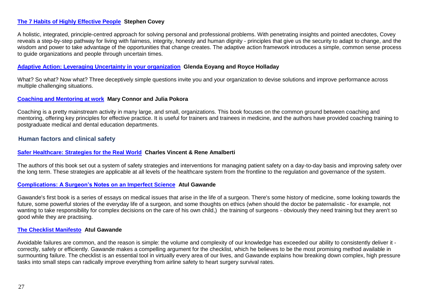#### **[The 7 Habits of Highly Effective People](https://www.amazon.co.uk/Habits-Highly-Effective-People/dp/0684858398/ref=sr_1_1?keywords=The+7+Habits+of+Highly+Effective+People&qid=1558119692&s=books&sr=1-1) Stephen Covey**

A holistic, integrated, principle-centred approach for solving personal and professional problems. With penetrating insights and pointed anecdotes, Covey reveals a step-by-step pathway for living with fairness, integrity, honesty and human dignity - principles that give us the security to adapt to change, and the wisdom and power to take advantage of the opportunities that change creates. The adaptive action framework introduces a simple, common sense process to guide organizations and people through uncertain times.

#### **[Adaptive Action: Leveraging Uncertainty in your organization](https://www.amazon.co.uk/Adaptive-Action-Leveraging-Uncertainty-Organization/dp/0804787115/ref=sr_1_1?keywords=Adaptive+Action%3A+Leveraging+Uncertainty+in+your+organization&qid=1558119820&s=books&sr=1-1-catcorr) Glenda Eoyang and Royce Holladay**

What? So what? Now what? Three deceptively simple questions invite you and your organization to devise solutions and improve performance across multiple challenging situations.

#### **[Coaching and Mentoring at work](https://www.amazon.co.uk/Coaching-Mentoring-at-Work-3rd/dp/0335226922/ref=sr_1_1?keywords=Coaching+and+Mentoring+at+work&qid=1558119872&s=books&sr=1-1) Mary Connor and Julia Pokora**

Coaching is a pretty mainstream activity in many large, and small, organizations. This book focuses on the common ground between coaching and mentoring, offering key principles for effective practice. It is useful for trainers and trainees in medicine, and the authors have provided coaching training to postgraduate medical and dental education departments.

#### **Human factors and clinical safety**

#### **[Safer Healthcare: Strategies for the Real World](https://www.amazon.co.uk/Safer-Healthcare-Strategies-Real-World/dp/3319255576/ref=sr_1_fkmrnull_1?keywords=Safer+Healthcare%3A+Strategies+for+the+Real+World&qid=1558120024&s=books&sr=1-1-fkmrnull) Charles Vincent & Rene Amalberti**

The authors of this book set out a system of safety strategies and interventions for managing patient safety on a day-to-day basis and improving safety over the long term. These strategies are applicable at all levels of the healthcare system from the frontline to the regulation and governance of the system.

#### **[Complications: A Surgeon's Notes on an Imperfect Science](https://www.amazon.co.uk/Complications-Surgeons-Notes-Imperfect-Science/dp/1846681324/ref=sr_1_1?keywords=Complications%3A+A+Surgeon%E2%80%99s+Notes+on+an+Imperfect+Science&qid=1558120104&s=books&sr=1-1) Atul Gawande**

Gawande's first book is a series of essays on medical issues that arise in the life of a surgeon. There's some history of medicine, some looking towards the future, some powerful stories of the everyday life of a surgeon, and some thoughts on ethics (when should the doctor be paternalistic - for example, not wanting to take responsibility for complex decisions on the care of his own child,) the training of surgeons - obviously they need training but they aren't so good while they are practising.

#### **[The Checklist Manifesto](https://www.amazon.co.uk/Checklist-Manifesto-Things-Right-Gawande/dp/1846683149) Atul Gawande**

Avoidable failures are common, and the reason is simple: the volume and complexity of our knowledge has exceeded our ability to consistently deliver it correctly, safely or efficiently. Gawande makes a compelling argument for the checklist, which he believes to be the most promising method available in surmounting failure. The checklist is an essential tool in virtually every area of our lives, and Gawande explains how breaking down complex, high pressure tasks into small steps can radically improve everything from airline safety to heart surgery survival rates.